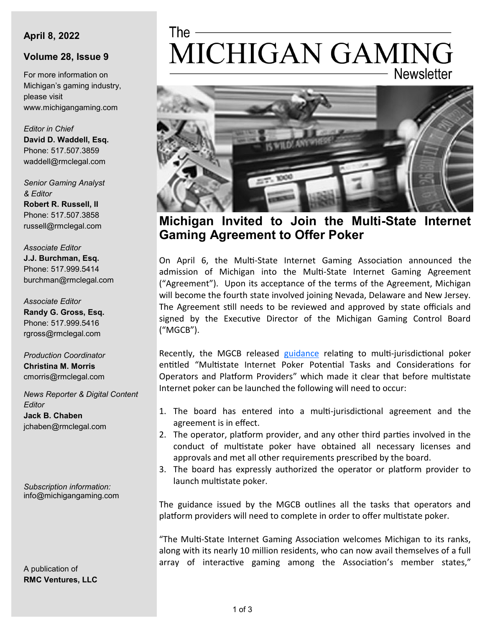#### **April 8, 2022**

### **Volume 28, Issue 9**

For more information on Michigan's gaming industry, please visit www.michigangaming.com

*Editor in Chief* **David D. Waddell, Esq.** Phone: 517.507.3859 waddell@rmclegal.com

*Senior Gaming Analyst & Editor* **Robert R. Russell, II**

Phone: 517.507.3858 russell@rmclegal.com

*Associate Editor* **J.J. Burchman, Esq.** Phone: 517.999.5414 burchman@rmclegal.com

*Associate Editor* **Randy G. Gross, Esq.** Phone: 517.999.5416 rgross@rmclegal.com

*Production Coordinator* **Christina M. Morris** cmorris@rmclegal.com

*News Reporter & Digital Content Editor* **Jack B. Chaben** jchaben@rmclegal.com

*Subscription information:* info@michigangaming.com

A publication of **RMC Ventures, LLC**

# MICHIGAN GAMING **Newsletter**



**Michigan Invited to Join the Multi-State Internet Gaming Agreement to Offer Poker** 

On April 6, the Multi-State Internet Gaming Association announced the admission of Michigan into the Multi-State Internet Gaming Agreement ("Agreement"). Upon its acceptance of the terms of the Agreement, Michigan will become the fourth state involved joining Nevada, Delaware and New Jersey. The Agreement still needs to be reviewed and approved by state officials and signed by the Executive Director of the Michigan Gaming Control Board ("MGCB").

Recently, the MGCB released [guidance](https://www.michigan.gov/mgcb/-/media/Project/Websites/mgcb/Internet-Gaming-and-Fantasy-Contests/Multistate-Internet-Poker-Considerations/Multstate-Poker-Tasks-and-Considerations.pdf?rev=0714ac43cbe04870a285560b063972c7) relating to multi-jurisdictional poker entitled "Multistate Internet Poker Potential Tasks and Considerations for Operators and Platform Providers" which made it clear that before multistate Internet poker can be launched the following will need to occur:

- 1. The board has entered into a multi-jurisdictional agreement and the agreement is in effect.
- 2. The operator, platform provider, and any other third parties involved in the conduct of multistate poker have obtained all necessary licenses and approvals and met all other requirements prescribed by the board.
- 3. The board has expressly authorized the operator or platform provider to launch multistate poker.

The guidance issued by the MGCB outlines all the tasks that operators and platform providers will need to complete in order to offer multistate poker.

"The Multi-State Internet Gaming Association welcomes Michigan to its ranks, along with its nearly 10 million residents, who can now avail themselves of a full array of interactive gaming among the Association's member states,"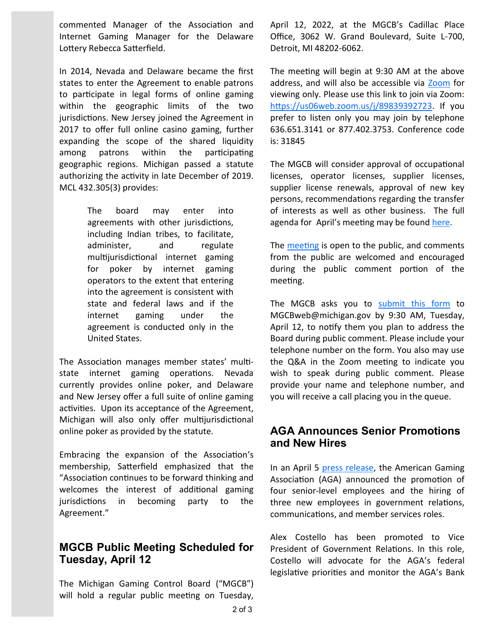commented Manager of the Association and Internet Gaming Manager for the Delaware Lottery Rebecca Satterfield.

In 2014, Nevada and Delaware became the first states to enter the Agreement to enable patrons to participate in legal forms of online gaming within the geographic limits of the two jurisdictions. New Jersey joined the Agreement in 2017 to offer full online casino gaming, further expanding the scope of the shared liquidity among patrons within the participating geographic regions. Michigan passed a statute authorizing the activity in late December of 2019. MCL 432.305(3) provides:

> The board may enter into agreements with other jurisdictions, including Indian tribes, to facilitate, administer, and regulate multijurisdictional internet gaming for poker by internet gaming operators to the extent that entering into the agreement is consistent with state and federal laws and if the internet gaming under the agreement is conducted only in the United States.

The Association manages member states' multistate internet gaming operations. Nevada currently provides online poker, and Delaware and New Jersey offer a full suite of online gaming activities. Upon its acceptance of the Agreement, Michigan will also only offer multijurisdictional online poker as provided by the statute.

Embracing the expansion of the Association's membership, Satterfield emphasized that the "Association continues to be forward thinking and welcomes the interest of additional gaming jurisdictions in becoming party to the Agreement."

## **MGCB Public Meeting Scheduled for Tuesday, April 12**

The Michigan Gaming Control Board ("MGCB") will hold a regular public meeting on Tuesday,

April 12, 2022, at the MGCB's Cadillac Place Office, 3062 W. Grand Boulevard, Suite L-700, Detroit, MI 48202-6062.

The meeting will begin at 9:30 AM at the above address, and will also be accessible via [Zoom](https://us06web.zoom.us/j/89839392723) for viewing only. Please use this link to join via Zoom: [https://us06web.zoom.us/j/89839392723.](https://us06web.zoom.us/j/89839392723) If you prefer to listen only you may join by telephone 636.651.3141 or 877.402.3753. Conference code is: 31845

The MGCB will consider approval of occupational licenses, operator licenses, supplier licenses, supplier license renewals, approval of new key persons, recommendations regarding the transfer of interests as well as other business. The full agenda for April's meeting may be found [here.](https://content.govdelivery.com/accounts/MIGCB/bulletins/311a5b8)

The [meeting](https://content.govdelivery.com/accounts/MIGCB/bulletins/311e3c9) is open to the public, and comments from the public are welcomed and encouraged during the public comment portion of the meeting.

The MGCB asks you to [submit this form](https://www.michigan.gov/mgcb/-/media/Project/Websites/mgcb/Files/Public_Sign_in_Sheet_691837_7-(1).docx) to MGCBweb@michigan.gov by 9:30 AM, Tuesday, April 12, to notify them you plan to address the Board during public comment. Please include your telephone number on the form. You also may use the Q&A in the Zoom meeting to indicate you wish to speak during public comment. Please provide your name and telephone number, and you will receive a call placing you in the queue.

## **AGA Announces Senior Promotions and New Hires**

In an April 5 [press release,](https://www.americangaming.org/new/american-gaming-association-announces-senior-level-promotions-new-hires/) the American Gaming Association (AGA) announced the promotion of four senior-level employees and the hiring of three new employees in government relations, communications, and member services roles.

Alex Costello has been promoted to Vice President of Government Relations. In this role, Costello will advocate for the AGA's federal legislative priorities and monitor the AGA's Bank